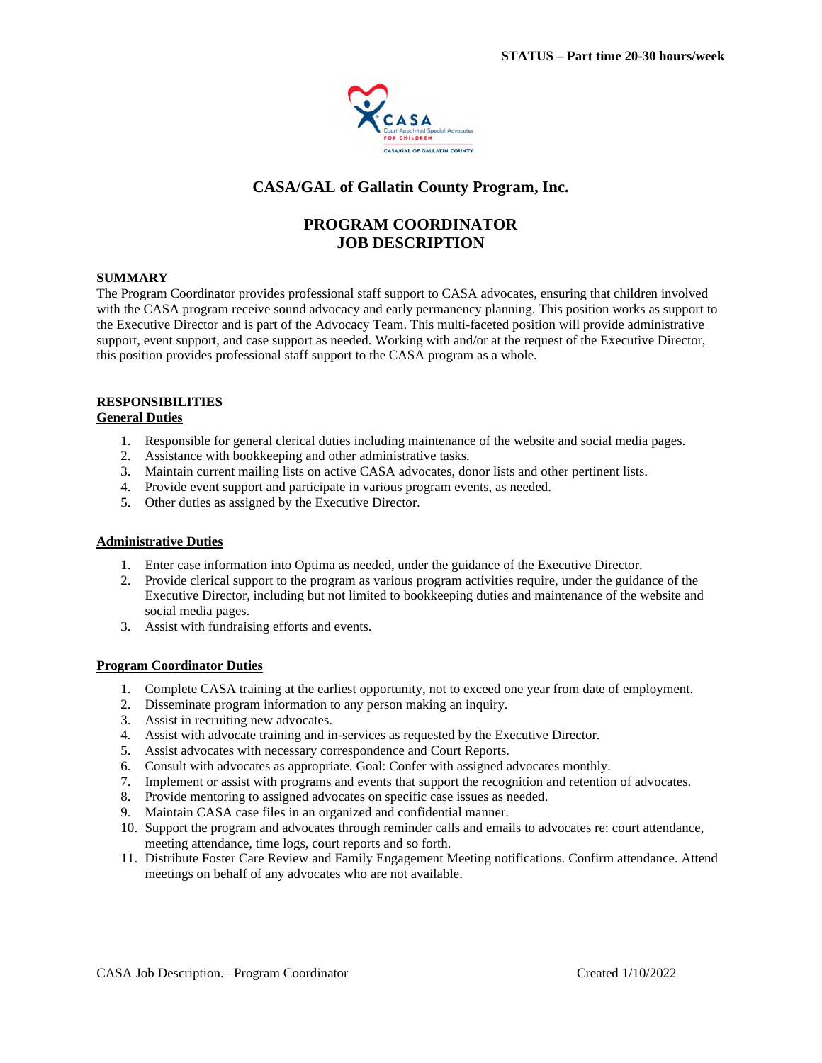

# **CASA/GAL of Gallatin County Program, Inc.**

# **PROGRAM COORDINATOR JOB DESCRIPTION**

### **SUMMARY**

The Program Coordinator provides professional staff support to CASA advocates, ensuring that children involved with the CASA program receive sound advocacy and early permanency planning. This position works as support to the Executive Director and is part of the Advocacy Team. This multi-faceted position will provide administrative support, event support, and case support as needed. Working with and/or at the request of the Executive Director, this position provides professional staff support to the CASA program as a whole.

#### **RESPONSIBILITIES General Duties**

- 1. Responsible for general clerical duties including maintenance of the website and social media pages.
- 2. Assistance with bookkeeping and other administrative tasks.
- 3. Maintain current mailing lists on active CASA advocates, donor lists and other pertinent lists.
- 4. Provide event support and participate in various program events, as needed.
- 5. Other duties as assigned by the Executive Director.

#### **Administrative Duties**

- 1. Enter case information into Optima as needed, under the guidance of the Executive Director.
- 2. Provide clerical support to the program as various program activities require, under the guidance of the Executive Director, including but not limited to bookkeeping duties and maintenance of the website and social media pages.
- 3. Assist with fundraising efforts and events.

#### **Program Coordinator Duties**

- 1. Complete CASA training at the earliest opportunity, not to exceed one year from date of employment.
- 2. Disseminate program information to any person making an inquiry.
- 3. Assist in recruiting new advocates.
- 4. Assist with advocate training and in-services as requested by the Executive Director.
- 5. Assist advocates with necessary correspondence and Court Reports.
- 6. Consult with advocates as appropriate. Goal: Confer with assigned advocates monthly.
- 7. Implement or assist with programs and events that support the recognition and retention of advocates.
- 8. Provide mentoring to assigned advocates on specific case issues as needed.
- 9. Maintain CASA case files in an organized and confidential manner.
- 10. Support the program and advocates through reminder calls and emails to advocates re: court attendance, meeting attendance, time logs, court reports and so forth.
- 11. Distribute Foster Care Review and Family Engagement Meeting notifications. Confirm attendance. Attend meetings on behalf of any advocates who are not available.